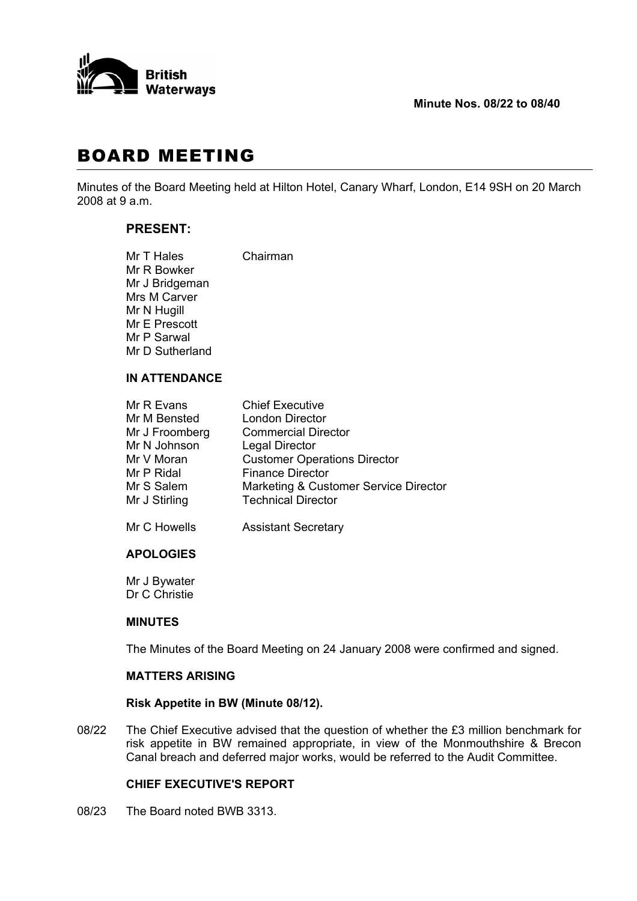

# BOARD MEETING

Minutes of the Board Meeting held at Hilton Hotel, Canary Wharf, London, E14 9SH on 20 March 2008 at 9 a.m.

# **PRESENT:**

| Mr T Hales      | Chairman |
|-----------------|----------|
| Mr R Bowker     |          |
| Mr J Bridgeman  |          |
| Mrs M Carver    |          |
| Mr N Hugill     |          |
| Mr E Prescott   |          |
| Mr P Sarwal     |          |
| Mr D Sutherland |          |
|                 |          |

# **IN ATTENDANCE**

| Mr R Evans     | <b>Chief Executive</b>                |
|----------------|---------------------------------------|
| Mr M Bensted   | <b>London Director</b>                |
| Mr J Froomberg | <b>Commercial Director</b>            |
| Mr N Johnson   | <b>Legal Director</b>                 |
| Mr V Moran     | <b>Customer Operations Director</b>   |
| Mr P Ridal     | <b>Finance Director</b>               |
| Mr S Salem     | Marketing & Customer Service Director |
| Mr J Stirling  | <b>Technical Director</b>             |
|                |                                       |

Mr C Howells **Assistant Secretary** 

# **APOLOGIES**

 Mr J Bywater Dr C Christie

# **MINUTES**

The Minutes of the Board Meeting on 24 January 2008 were confirmed and signed.

# **MATTERS ARISING**

# **Risk Appetite in BW (Minute 08/12).**

08/22 The Chief Executive advised that the question of whether the £3 million benchmark for risk appetite in BW remained appropriate, in view of the Monmouthshire & Brecon Canal breach and deferred major works, would be referred to the Audit Committee.

# **CHIEF EXECUTIVE'S REPORT**

08/23 The Board noted BWB 3313.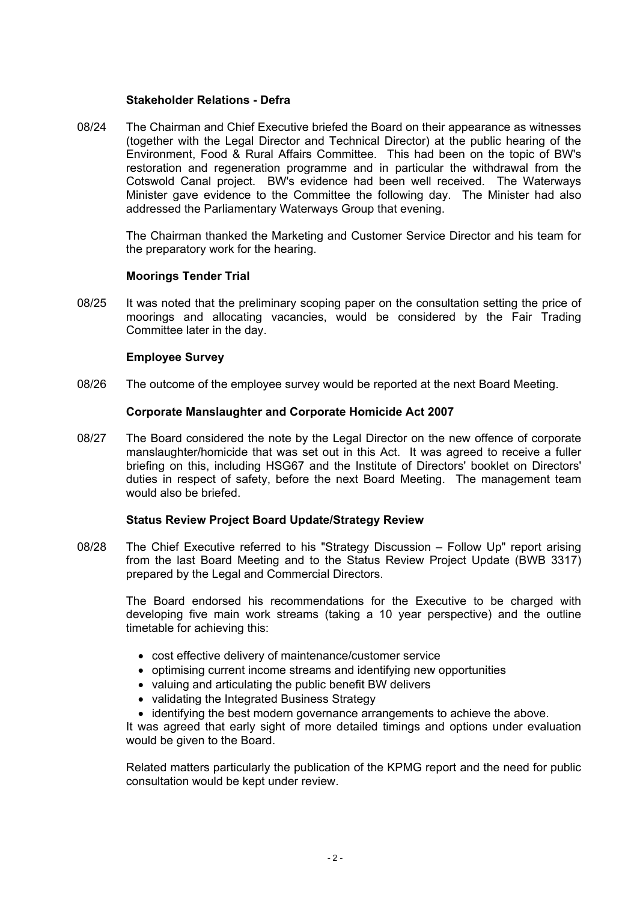#### **Stakeholder Relations - Defra**

08/24 The Chairman and Chief Executive briefed the Board on their appearance as witnesses (together with the Legal Director and Technical Director) at the public hearing of the Environment, Food & Rural Affairs Committee. This had been on the topic of BW's restoration and regeneration programme and in particular the withdrawal from the Cotswold Canal project. BW's evidence had been well received. The Waterways Minister gave evidence to the Committee the following day. The Minister had also addressed the Parliamentary Waterways Group that evening.

 The Chairman thanked the Marketing and Customer Service Director and his team for the preparatory work for the hearing.

# **Moorings Tender Trial**

08/25 It was noted that the preliminary scoping paper on the consultation setting the price of moorings and allocating vacancies, would be considered by the Fair Trading Committee later in the day.

#### **Employee Survey**

08/26 The outcome of the employee survey would be reported at the next Board Meeting.

#### **Corporate Manslaughter and Corporate Homicide Act 2007**

08/27 The Board considered the note by the Legal Director on the new offence of corporate manslaughter/homicide that was set out in this Act. It was agreed to receive a fuller briefing on this, including HSG67 and the Institute of Directors' booklet on Directors' duties in respect of safety, before the next Board Meeting. The management team would also be briefed.

# **Status Review Project Board Update/Strategy Review**

08/28 The Chief Executive referred to his "Strategy Discussion – Follow Up" report arising from the last Board Meeting and to the Status Review Project Update (BWB 3317) prepared by the Legal and Commercial Directors.

 The Board endorsed his recommendations for the Executive to be charged with developing five main work streams (taking a 10 year perspective) and the outline timetable for achieving this:

- cost effective delivery of maintenance/customer service
- optimising current income streams and identifying new opportunities
- valuing and articulating the public benefit BW delivers
- validating the Integrated Business Strategy
- identifying the best modern governance arrangements to achieve the above.

 It was agreed that early sight of more detailed timings and options under evaluation would be given to the Board.

 Related matters particularly the publication of the KPMG report and the need for public consultation would be kept under review.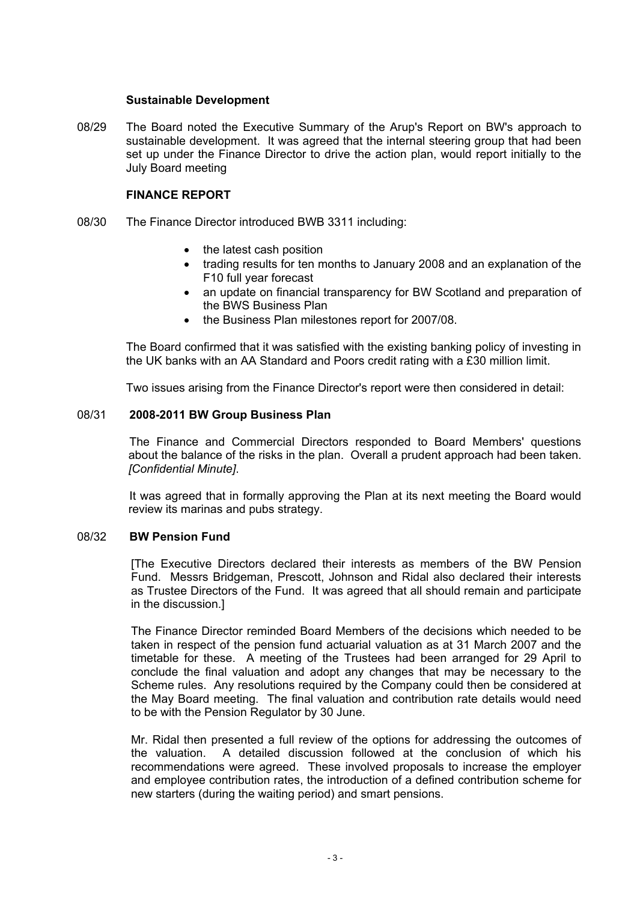#### **Sustainable Development**

08/29 The Board noted the Executive Summary of the Arup's Report on BW's approach to sustainable development. It was agreed that the internal steering group that had been set up under the Finance Director to drive the action plan, would report initially to the July Board meeting

### **FINANCE REPORT**

- 08/30 The Finance Director introduced BWB 3311 including:
	- the latest cash position
	- trading results for ten months to January 2008 and an explanation of the F10 full year forecast
	- an update on financial transparency for BW Scotland and preparation of the BWS Business Plan
	- the Business Plan milestones report for 2007/08.

 The Board confirmed that it was satisfied with the existing banking policy of investing in the UK banks with an AA Standard and Poors credit rating with a £30 million limit.

Two issues arising from the Finance Director's report were then considered in detail:

#### 08/31 **2008-2011 BW Group Business Plan**

 The Finance and Commercial Directors responded to Board Members' questions about the balance of the risks in the plan. Overall a prudent approach had been taken. *[Confidential Minute]*.

 It was agreed that in formally approving the Plan at its next meeting the Board would review its marinas and pubs strategy.

### 08/32 **BW Pension Fund**

 [The Executive Directors declared their interests as members of the BW Pension Fund. Messrs Bridgeman, Prescott, Johnson and Ridal also declared their interests as Trustee Directors of the Fund. It was agreed that all should remain and participate in the discussion.]

 The Finance Director reminded Board Members of the decisions which needed to be taken in respect of the pension fund actuarial valuation as at 31 March 2007 and the timetable for these. A meeting of the Trustees had been arranged for 29 April to conclude the final valuation and adopt any changes that may be necessary to the Scheme rules. Any resolutions required by the Company could then be considered at the May Board meeting. The final valuation and contribution rate details would need to be with the Pension Regulator by 30 June.

 Mr. Ridal then presented a full review of the options for addressing the outcomes of the valuation. A detailed discussion followed at the conclusion of which his recommendations were agreed. These involved proposals to increase the employer and employee contribution rates, the introduction of a defined contribution scheme for new starters (during the waiting period) and smart pensions.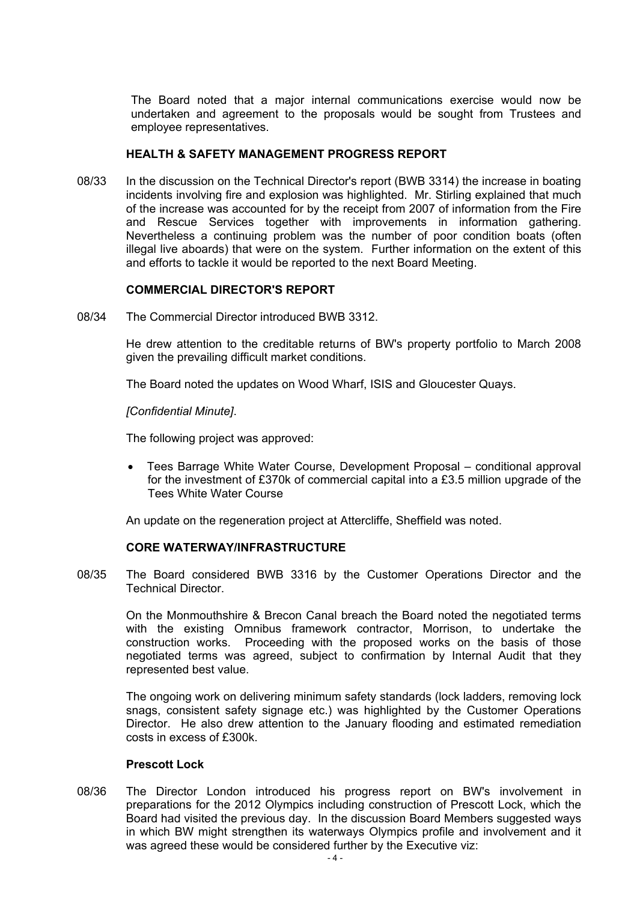The Board noted that a major internal communications exercise would now be undertaken and agreement to the proposals would be sought from Trustees and employee representatives.

#### **HEALTH & SAFETY MANAGEMENT PROGRESS REPORT**

08/33 In the discussion on the Technical Director's report (BWB 3314) the increase in boating incidents involving fire and explosion was highlighted. Mr. Stirling explained that much of the increase was accounted for by the receipt from 2007 of information from the Fire and Rescue Services together with improvements in information gathering. Nevertheless a continuing problem was the number of poor condition boats (often illegal live aboards) that were on the system. Further information on the extent of this and efforts to tackle it would be reported to the next Board Meeting.

#### **COMMERCIAL DIRECTOR'S REPORT**

08/34 The Commercial Director introduced BWB 3312.

 He drew attention to the creditable returns of BW's property portfolio to March 2008 given the prevailing difficult market conditions.

The Board noted the updates on Wood Wharf, ISIS and Gloucester Quays.

*[Confidential Minute]*.

The following project was approved:

• Tees Barrage White Water Course, Development Proposal – conditional approval for the investment of £370k of commercial capital into a £3.5 million upgrade of the Tees White Water Course

An update on the regeneration project at Attercliffe, Sheffield was noted.

#### **CORE WATERWAY/INFRASTRUCTURE**

08/35 The Board considered BWB 3316 by the Customer Operations Director and the Technical Director.

 On the Monmouthshire & Brecon Canal breach the Board noted the negotiated terms with the existing Omnibus framework contractor, Morrison, to undertake the construction works. Proceeding with the proposed works on the basis of those negotiated terms was agreed, subject to confirmation by Internal Audit that they represented best value.

 The ongoing work on delivering minimum safety standards (lock ladders, removing lock snags, consistent safety signage etc.) was highlighted by the Customer Operations Director. He also drew attention to the January flooding and estimated remediation costs in excess of £300k.

#### **Prescott Lock**

08/36 The Director London introduced his progress report on BW's involvement in preparations for the 2012 Olympics including construction of Prescott Lock, which the Board had visited the previous day. In the discussion Board Members suggested ways in which BW might strengthen its waterways Olympics profile and involvement and it was agreed these would be considered further by the Executive viz: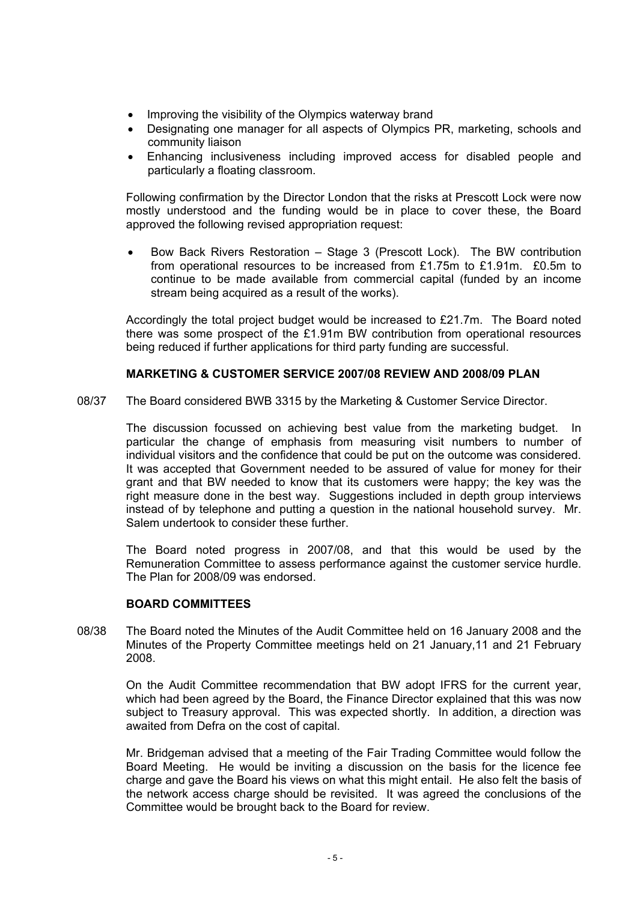- Improving the visibility of the Olympics waterway brand
- Designating one manager for all aspects of Olympics PR, marketing, schools and community liaison
- Enhancing inclusiveness including improved access for disabled people and particularly a floating classroom.

 Following confirmation by the Director London that the risks at Prescott Lock were now mostly understood and the funding would be in place to cover these, the Board approved the following revised appropriation request:

• Bow Back Rivers Restoration – Stage 3 (Prescott Lock). The BW contribution from operational resources to be increased from £1.75m to £1.91m. £0.5m to continue to be made available from commercial capital (funded by an income stream being acquired as a result of the works).

 Accordingly the total project budget would be increased to £21.7m. The Board noted there was some prospect of the £1.91m BW contribution from operational resources being reduced if further applications for third party funding are successful.

# **MARKETING & CUSTOMER SERVICE 2007/08 REVIEW AND 2008/09 PLAN**

08/37 The Board considered BWB 3315 by the Marketing & Customer Service Director.

 The discussion focussed on achieving best value from the marketing budget. In particular the change of emphasis from measuring visit numbers to number of individual visitors and the confidence that could be put on the outcome was considered. It was accepted that Government needed to be assured of value for money for their grant and that BW needed to know that its customers were happy; the key was the right measure done in the best way. Suggestions included in depth group interviews instead of by telephone and putting a question in the national household survey. Mr. Salem undertook to consider these further.

 The Board noted progress in 2007/08, and that this would be used by the Remuneration Committee to assess performance against the customer service hurdle. The Plan for 2008/09 was endorsed.

#### **BOARD COMMITTEES**

08/38 The Board noted the Minutes of the Audit Committee held on 16 January 2008 and the Minutes of the Property Committee meetings held on 21 January,11 and 21 February 2008.

 On the Audit Committee recommendation that BW adopt IFRS for the current year, which had been agreed by the Board, the Finance Director explained that this was now subject to Treasury approval. This was expected shortly. In addition, a direction was awaited from Defra on the cost of capital.

 Mr. Bridgeman advised that a meeting of the Fair Trading Committee would follow the Board Meeting. He would be inviting a discussion on the basis for the licence fee charge and gave the Board his views on what this might entail. He also felt the basis of the network access charge should be revisited. It was agreed the conclusions of the Committee would be brought back to the Board for review.